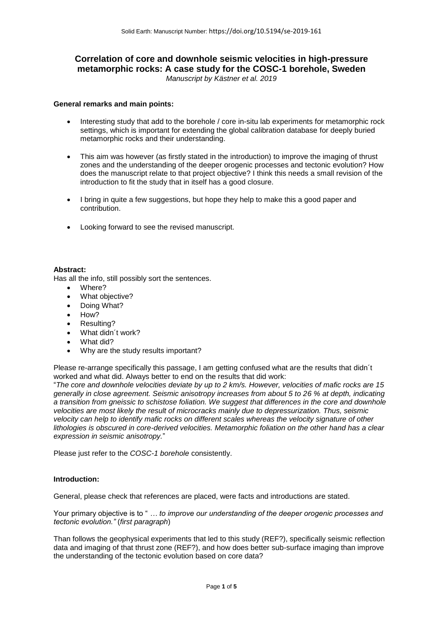# **Correlation of core and downhole seismic velocities in high-pressure metamorphic rocks: A case study for the COSC-1 borehole, Sweden**

*Manuscript by Kästner et al. 2019*

### **General remarks and main points:**

- Interesting study that add to the borehole / core in-situ lab experiments for metamorphic rock settings, which is important for extending the global calibration database for deeply buried metamorphic rocks and their understanding.
- This aim was however (as firstly stated in the introduction) to improve the imaging of thrust zones and the understanding of the deeper orogenic processes and tectonic evolution? How does the manuscript relate to that project objective? I think this needs a small revision of the introduction to fit the study that in itself has a good closure.
- I bring in quite a few suggestions, but hope they help to make this a good paper and contribution.
- Looking forward to see the revised manuscript.

## **Abstract:**

Has all the info, still possibly sort the sentences.

- Where?
- What objective?
- Doing What?
- How?
- Resulting?
- What didn't work?
- What did?
- Why are the study results important?

Please re-arrange specifically this passage, I am getting confused what are the results that didn´t worked and what did. Always better to end on the results that did work:

"*The core and downhole velocities deviate by up to 2 km/s. However, velocities of mafic rocks are 15 generally in close agreement. Seismic anisotropy increases from about 5 to 26 % at depth, indicating a transition from gneissic to schistose foliation. We suggest that differences in the core and downhole velocities are most likely the result of microcracks mainly due to depressurization. Thus, seismic velocity can help to identify mafic rocks on different scales whereas the velocity signature of other lithologies is obscured in core-derived velocities. Metamorphic foliation on the other hand has a clear expression in seismic anisotropy.*"

Please just refer to the *COSC-1 borehole* consistently.

## **Introduction:**

General, please check that references are placed, were facts and introductions are stated.

Your primary objective is to " *… to improve our understanding of the deeper orogenic processes and tectonic evolution."* (*first paragraph*)

Than follows the geophysical experiments that led to this study (REF?), specifically seismic reflection data and imaging of that thrust zone (REF?), and how does better sub-surface imaging than improve the understanding of the tectonic evolution based on core data?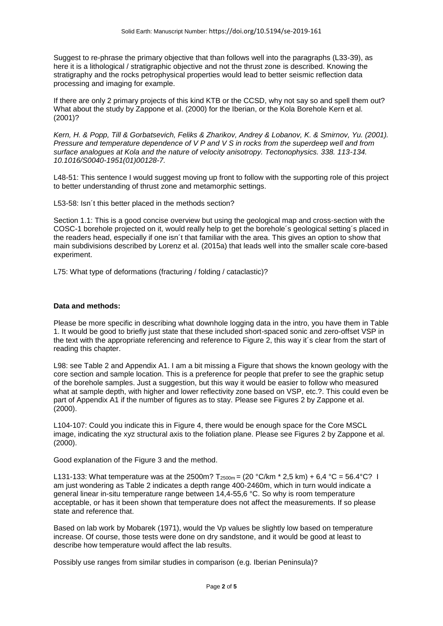Suggest to re-phrase the primary objective that than follows well into the paragraphs (L33-39), as here it is a lithological / stratigraphic objective and not the thrust zone is described. Knowing the stratigraphy and the rocks petrophysical properties would lead to better seismic reflection data processing and imaging for example.

If there are only 2 primary projects of this kind KTB or the CCSD, why not say so and spell them out? What about the study by Zappone et al. (2000) for the Iberian, or the Kola Borehole Kern et al. (2001)?

*Kern, H. & Popp, Till & Gorbatsevich, Feliks & Zharikov, Andrey & Lobanov, K. & Smirnov, Yu. (2001). Pressure and temperature dependence of V P and V S in rocks from the superdeep well and from surface analogues at Kola and the nature of velocity anisotropy. Tectonophysics. 338. 113-134. 10.1016/S0040-1951(01)00128-7.*

L48-51: This sentence I would suggest moving up front to follow with the supporting role of this project to better understanding of thrust zone and metamorphic settings.

L53-58: Isn´t this better placed in the methods section?

Section 1.1: This is a good concise overview but using the geological map and cross-section with the COSC-1 borehole projected on it, would really help to get the borehole´s geological setting´s placed in the readers head, especially if one isn´t that familiar with the area. This gives an option to show that main subdivisions described by Lorenz et al. (2015a) that leads well into the smaller scale core-based experiment.

L75: What type of deformations (fracturing / folding / cataclastic)?

#### **Data and methods:**

Please be more specific in describing what downhole logging data in the intro, you have them in Table 1. It would be good to briefly just state that these included short-spaced sonic and zero-offset VSP in the text with the appropriate referencing and reference to Figure 2, this way it´s clear from the start of reading this chapter.

L98: see Table 2 and Appendix A1. I am a bit missing a Figure that shows the known geology with the core section and sample location. This is a preference for people that prefer to see the graphic setup of the borehole samples. Just a suggestion, but this way it would be easier to follow who measured what at sample depth, with higher and lower reflectivity zone based on VSP, etc.?. This could even be part of Appendix A1 if the number of figures as to stay. Please see Figures 2 by Zappone et al. (2000).

L104-107: Could you indicate this in Figure 4, there would be enough space for the Core MSCL image, indicating the xyz structural axis to the foliation plane. Please see Figures 2 by Zappone et al. (2000).

Good explanation of the Figure 3 and the method.

L131-133: What temperature was at the 2500m?  $T_{2500m} = (20 °C/km * 2.5 km) + 6.4 °C = 56.4 °C?$  I am just wondering as Table 2 indicates a depth range 400-2460m, which in turn would indicate a general linear in-situ temperature range between 14,4-55,6 °C. So why is room temperature acceptable, or has it been shown that temperature does not affect the measurements. If so please state and reference that.

Based on lab work by Mobarek (1971), would the Vp values be slightly low based on temperature increase. Of course, those tests were done on dry sandstone, and it would be good at least to describe how temperature would affect the lab results.

Possibly use ranges from similar studies in comparison (e.g. Iberian Peninsula)?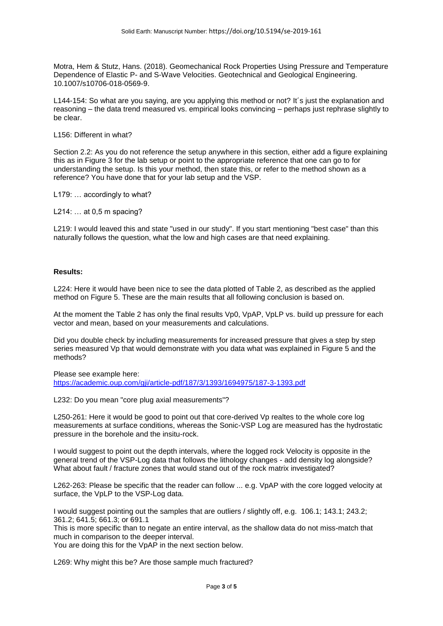Motra, Hem & Stutz, Hans. (2018). Geomechanical Rock Properties Using Pressure and Temperature Dependence of Elastic P- and S-Wave Velocities. Geotechnical and Geological Engineering. 10.1007/s10706-018-0569-9.

L144-154: So what are you saying, are you applying this method or not? It´s just the explanation and reasoning – the data trend measured vs. empirical looks convincing – perhaps just rephrase slightly to be clear.

L156: Different in what?

Section 2.2: As you do not reference the setup anywhere in this section, either add a figure explaining this as in Figure 3 for the lab setup or point to the appropriate reference that one can go to for understanding the setup. Is this your method, then state this, or refer to the method shown as a reference? You have done that for your lab setup and the VSP.

L179: … accordingly to what?

L214: … at 0,5 m spacing?

L219: I would leaved this and state "used in our study". If you start mentioning "best case" than this naturally follows the question, what the low and high cases are that need explaining.

#### **Results:**

L224: Here it would have been nice to see the data plotted of Table 2, as described as the applied method on Figure 5. These are the main results that all following conclusion is based on.

At the moment the Table 2 has only the final results Vp0, VpAP, VpLP vs. build up pressure for each vector and mean, based on your measurements and calculations.

Did you double check by including measurements for increased pressure that gives a step by step series measured Vp that would demonstrate with you data what was explained in Figure 5 and the methods?

Please see example here:

<https://academic.oup.com/gji/article-pdf/187/3/1393/1694975/187-3-1393.pdf>

L232: Do you mean "core plug axial measurements"?

L250-261: Here it would be good to point out that core-derived Vp realtes to the whole core log measurements at surface conditions, whereas the Sonic-VSP Log are measured has the hydrostatic pressure in the borehole and the insitu-rock.

I would suggest to point out the depth intervals, where the logged rock Velocity is opposite in the general trend of the VSP-Log data that follows the lithology changes - add density log alongside? What about fault / fracture zones that would stand out of the rock matrix investigated?

L262-263: Please be specific that the reader can follow ... e.g. VpAP with the core logged velocity at surface, the VpLP to the VSP-Log data.

I would suggest pointing out the samples that are outliers / slightly off, e.g. 106.1; 143.1; 243.2; 361.2; 641.5; 661.3; or 691.1

This is more specific than to negate an entire interval, as the shallow data do not miss-match that much in comparison to the deeper interval.

You are doing this for the VpAP in the next section below.

L269: Why might this be? Are those sample much fractured?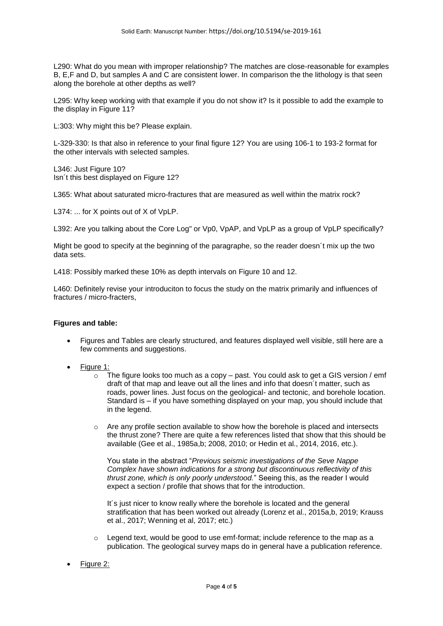L290: What do you mean with improper relationship? The matches are close-reasonable for examples B, E,F and D, but samples A and C are consistent lower. In comparison the the lithology is that seen along the borehole at other depths as well?

L295: Why keep working with that example if you do not show it? Is it possible to add the example to the display in Figure 11?

L:303: Why might this be? Please explain.

L-329-330: Is that also in reference to your final figure 12? You are using 106-1 to 193-2 format for the other intervals with selected samples.

L346: Just Figure 10? Isn´t this best displayed on Figure 12?

L365: What about saturated micro-fractures that are measured as well within the matrix rock?

L374: ... for X points out of X of VpLP.

L392: Are you talking about the Core Log" or Vp0, VpAP, and VpLP as a group of VpLP specifically?

Might be good to specify at the beginning of the paragraphe, so the reader doesn´t mix up the two data sets.

L418: Possibly marked these 10% as depth intervals on Figure 10 and 12.

L460: Definitely revise your introduciton to focus the study on the matrix primarily and influences of fractures / micro-fracters,

#### **Figures and table:**

- Figures and Tables are clearly structured, and features displayed well visible, still here are a few comments and suggestions.
- Figure 1:
	- $\circ$  The figure looks too much as a copy past. You could ask to get a GIS version / emf draft of that map and leave out all the lines and info that doesn´t matter, such as roads, power lines. Just focus on the geological- and tectonic, and borehole location. Standard is – if you have something displayed on your map, you should include that in the legend.
	- o Are any profile section available to show how the borehole is placed and intersects the thrust zone? There are quite a few references listed that show that this should be available (Gee et al., 1985a,b; 2008, 2010; or Hedin et al., 2014, 2016, etc.).

You state in the abstract "*Previous seismic investigations of the Seve Nappe Complex have shown indications for a strong but discontinuous reflectivity of this thrust zone, which is only poorly understood.*" Seeing this, as the reader I would expect a section / profile that shows that for the introduction.

It´s just nicer to know really where the borehole is located and the general stratification that has been worked out already (Lorenz et al., 2015a,b, 2019; Krauss et al., 2017; Wenning et al, 2017; etc.)

- $\circ$  Legend text, would be good to use emf-format; include reference to the map as a publication. The geological survey maps do in general have a publication reference.
- Figure 2: